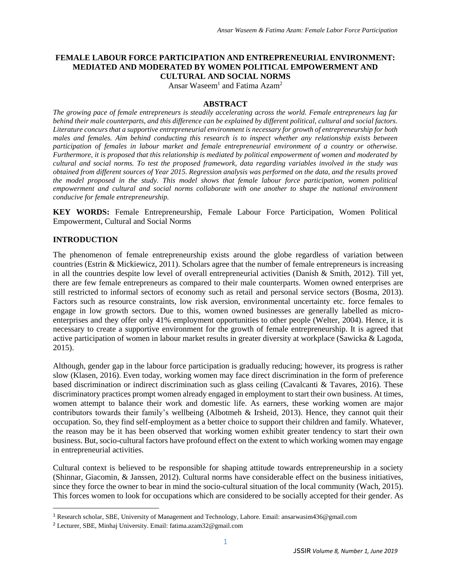#### **FEMALE LABOUR FORCE PARTICIPATION AND ENTREPRENEURIAL ENVIRONMENT: MEDIATED AND MODERATED BY WOMEN POLITICAL EMPOWERMENT AND CULTURAL AND SOCIAL NORMS**

Ansar Waseem<sup>1</sup> and Fatima Azam<sup>2</sup>

#### **ABSTRACT**

*The growing pace of female entrepreneurs is steadily accelerating across the world. Female entrepreneurs lag far behind their male counterparts, and this difference can be explained by different political, cultural and social factors. Literature concurs that a supportive entrepreneurial environment is necessary for growth of entrepreneurship for both males and females. Aim behind conducting this research is to inspect whether any relationship exists between participation of females in labour market and female entrepreneurial environment of a country or otherwise. Furthermore, it is proposed that this relationship is mediated by political empowerment of women and moderated by cultural and social norms. To test the proposed framework, data regarding variables involved in the study was obtained from different sources of Year 2015. Regression analysis was performed on the data, and the results proved the model proposed in the study. This model shows that female labour force participation, women political empowerment and cultural and social norms collaborate with one another to shape the national environment conducive for female entrepreneurship.*

**KEY WORDS:** Female Entrepreneurship, Female Labour Force Participation, Women Political Empowerment, Cultural and Social Norms

## **INTRODUCTION**

l

The phenomenon of female entrepreneurship exists around the globe regardless of variation between countries (Estrin & Mickiewicz, 2011). Scholars agree that the number of female entrepreneurs is increasing in all the countries despite low level of overall entrepreneurial activities (Danish & Smith, 2012). Till yet, there are few female entrepreneurs as compared to their male counterparts. Women owned enterprises are still restricted to informal sectors of economy such as retail and personal service sectors (Bosma, 2013). Factors such as resource constraints, low risk aversion, environmental uncertainty etc. force females to engage in low growth sectors. Due to this, women owned businesses are generally labelled as microenterprises and they offer only 41% employment opportunities to other people (Welter, 2004). Hence, it is necessary to create a supportive environment for the growth of female entrepreneurship. It is agreed that active participation of women in labour market results in greater diversity at workplace (Sawicka & Lagoda, 2015).

Although, gender gap in the labour force participation is gradually reducing; however, its progress is rather slow (Klasen, 2016). Even today, working women may face direct discrimination in the form of preference based discrimination or indirect discrimination such as glass ceiling (Cavalcanti & Tavares, 2016). These discriminatory practices prompt women already engaged in employment to start their own business. At times, women attempt to balance their work and domestic life. As earners, these working women are major contributors towards their family's wellbeing (Albotmeh & Irsheid, 2013). Hence, they cannot quit their occupation. So, they find self-employment as a better choice to support their children and family. Whatever, the reason may be it has been observed that working women exhibit greater tendency to start their own business. But, socio-cultural factors have profound effect on the extent to which working women may engage in entrepreneurial activities.

Cultural context is believed to be responsible for shaping attitude towards entrepreneurship in a society (Shinnar, Giacomin, & Janssen, 2012). Cultural norms have considerable effect on the business initiatives, since they force the owner to bear in mind the socio-cultural situation of the local community (Wach, 2015). This forces women to look for occupations which are considered to be socially accepted for their gender. As

<sup>1</sup> Research scholar, SBE, University of Management and Technology, Lahore. Email: ansarwasim436@gmail.com

<sup>2</sup> Lecturer, SBE, Minhaj University. Email: fatima.azam32@gmail.com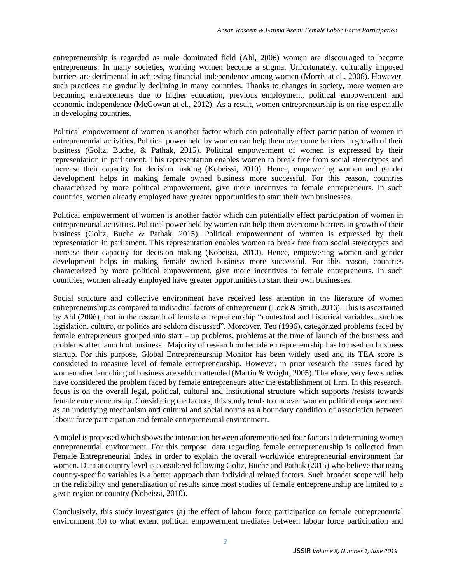entrepreneurship is regarded as male dominated field (Ahl, 2006) women are discouraged to become entrepreneurs. In many societies, working women become a stigma. Unfortunately, culturally imposed barriers are detrimental in achieving financial independence among women (Morris at el., 2006). However, such practices are gradually declining in many countries. Thanks to changes in society, more women are becoming entrepreneurs due to higher education, previous employment, political empowerment and economic independence (McGowan at el., 2012). As a result, women entrepreneurship is on rise especially in developing countries.

Political empowerment of women is another factor which can potentially effect participation of women in entrepreneurial activities. Political power held by women can help them overcome barriers in growth of their business (Goltz, Buche, & Pathak, 2015). Political empowerment of women is expressed by their representation in parliament. This representation enables women to break free from social stereotypes and increase their capacity for decision making (Kobeissi, 2010). Hence, empowering women and gender development helps in making female owned business more successful. For this reason, countries characterized by more political empowerment, give more incentives to female entrepreneurs. In such countries, women already employed have greater opportunities to start their own businesses.

Political empowerment of women is another factor which can potentially effect participation of women in entrepreneurial activities. Political power held by women can help them overcome barriers in growth of their business (Goltz, Buche & Pathak, 2015). Political empowerment of women is expressed by their representation in parliament. This representation enables women to break free from social stereotypes and increase their capacity for decision making (Kobeissi, 2010). Hence, empowering women and gender development helps in making female owned business more successful. For this reason, countries characterized by more political empowerment, give more incentives to female entrepreneurs. In such countries, women already employed have greater opportunities to start their own businesses.

Social structure and collective environment have received less attention in the literature of women entrepreneurship as compared to individual factors of entrepreneur (Lock & Smith, 2016). This is ascertained by Ahl (2006), that in the research of female entrepreneurship "contextual and historical variables...such as legislation, culture, or politics are seldom discussed". Moreover, Teo (1996), categorized problems faced by female entrepreneurs grouped into start – up problems, problems at the time of launch of the business and problems after launch of business. Majority of research on female entrepreneurship has focused on business startup. For this purpose, Global Entrepreneurship Monitor has been widely used and its TEA score is considered to measure level of female entrepreneurship. However, in prior research the issues faced by women after launching of business are seldom attended (Martin & Wright, 2005). Therefore, very few studies have considered the problem faced by female entrepreneurs after the establishment of firm. In this research, focus is on the overall legal, political, cultural and institutional structure which supports /resists towards female entrepreneurship. Considering the factors, this study tends to uncover women political empowerment as an underlying mechanism and cultural and social norms as a boundary condition of association between labour force participation and female entrepreneurial environment.

A model is proposed which shows the interaction between aforementioned four factors in determining women entrepreneurial environment. For this purpose, data regarding female entrepreneurship is collected from Female Entrepreneurial Index in order to explain the overall worldwide entrepreneurial environment for women. Data at country level is considered following Goltz, Buche and Pathak (2015) who believe that using country-specific variables is a better approach than individual related factors. Such broader scope will help in the reliability and generalization of results since most studies of female entrepreneurship are limited to a given region or country (Kobeissi, 2010).

Conclusively, this study investigates (a) the effect of labour force participation on female entrepreneurial environment (b) to what extent political empowerment mediates between labour force participation and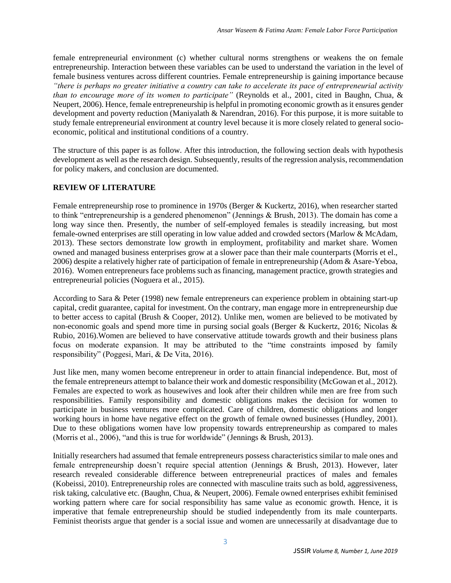female entrepreneurial environment (c) whether cultural norms strengthens or weakens the on female entrepreneurship. Interaction between these variables can be used to understand the variation in the level of female business ventures across different countries. Female entrepreneurship is gaining importance because *"there is perhaps no greater initiative a country can take to accelerate its pace of entrepreneurial activity than to encourage more of its women to participate"* (Reynolds et al., 2001, cited in Baughn, Chua, & Neupert, 2006). Hence, female entrepreneurship is helpful in promoting economic growth as it ensures gender development and poverty reduction (Maniyalath & Narendran, 2016). For this purpose, it is more suitable to study female entrepreneurial environment at country level because it is more closely related to general socioeconomic, political and institutional conditions of a country.

The structure of this paper is as follow. After this introduction, the following section deals with hypothesis development as well as the research design. Subsequently, results of the regression analysis, recommendation for policy makers, and conclusion are documented.

# **REVIEW OF LITERATURE**

Female entrepreneurship rose to prominence in 1970s (Berger & Kuckertz, 2016), when researcher started to think "entrepreneurship is a gendered phenomenon" (Jennings & Brush, 2013). The domain has come a long way since then. Presently, the number of self-employed females is steadily increasing, but most female-owned enterprises are still operating in low value added and crowded sectors (Marlow & McAdam, 2013). These sectors demonstrate low growth in employment, profitability and market share. Women owned and managed business enterprises grow at a slower pace than their male counterparts (Morris et el., 2006) despite a relatively higher rate of participation of female in entrepreneurship (Adom & Asare-Yeboa, 2016). Women entrepreneurs face problems such as financing, management practice, growth strategies and entrepreneurial policies (Noguera et al., 2015).

According to Sara & Peter (1998) new female entrepreneurs can experience problem in obtaining start-up capital, credit guarantee, capital for investment. On the contrary, man engage more in entrepreneurship due to better access to capital (Brush & Cooper, 2012). Unlike men, women are believed to be motivated by non-economic goals and spend more time in pursing social goals (Berger & Kuckertz, 2016; Nicolas & Rubio, 2016).Women are believed to have conservative attitude towards growth and their business plans focus on moderate expansion. It may be attributed to the "time constraints imposed by family responsibility" (Poggesi, Mari, & De Vita, 2016).

Just like men, many women become entrepreneur in order to attain financial independence. But, most of the female entrepreneurs attempt to balance their work and domestic responsibility (McGowan et al., 2012). Females are expected to work as housewives and look after their children while men are free from such responsibilities. Family responsibility and domestic obligations makes the decision for women to participate in business ventures more complicated. Care of children, domestic obligations and longer working hours in home have negative effect on the growth of female owned businesses (Hundley, 2001). Due to these obligations women have low propensity towards entrepreneurship as compared to males (Morris et al., 2006), "and this is true for worldwide" (Jennings & Brush, 2013).

Initially researchers had assumed that female entrepreneurs possess characteristics similar to male ones and female entrepreneurship doesn't require special attention (Jennings & Brush, 2013). However, later research revealed considerable difference between entrepreneurial practices of males and females (Kobeissi, 2010). Entrepreneurship roles are connected with masculine traits such as bold, aggressiveness, risk taking, calculative etc. (Baughn, Chua, & Neupert, 2006). Female owned enterprises exhibit feminised working pattern where care for social responsibility has same value as economic growth. Hence, it is imperative that female entrepreneurship should be studied independently from its male counterparts. Feminist theorists argue that gender is a social issue and women are unnecessarily at disadvantage due to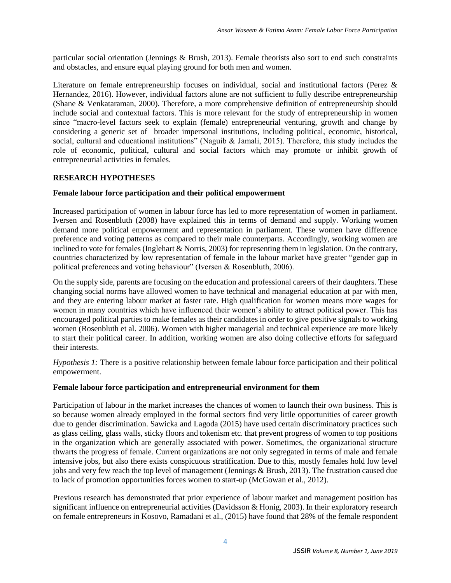particular social orientation (Jennings & Brush, 2013). Female theorists also sort to end such constraints and obstacles, and ensure equal playing ground for both men and women.

Literature on female entrepreneurship focuses on individual, social and institutional factors (Perez & Hernandez, 2016). However, individual factors alone are not sufficient to fully describe entrepreneurship (Shane & Venkataraman, 2000). Therefore, a more comprehensive definition of entrepreneurship should include social and contextual factors. This is more relevant for the study of entrepreneurship in women since "macro-level factors seek to explain (female) entrepreneurial venturing, growth and change by considering a generic set of broader impersonal institutions, including political, economic, historical, social, cultural and educational institutions" (Naguib & Jamali, 2015). Therefore, this study includes the role of economic, political, cultural and social factors which may promote or inhibit growth of entrepreneurial activities in females.

# **RESEARCH HYPOTHESES**

## **Female labour force participation and their political empowerment**

Increased participation of women in labour force has led to more representation of women in parliament. Iversen and Rosenbluth (2008) have explained this in terms of demand and supply. Working women demand more political empowerment and representation in parliament. These women have difference preference and voting patterns as compared to their male counterparts. Accordingly, working women are inclined to vote for females (Inglehart & Norris, 2003) for representing them in legislation. On the contrary, countries characterized by low representation of female in the labour market have greater "gender gap in political preferences and voting behaviour" (Iversen & Rosenbluth, 2006).

On the supply side, parents are focusing on the education and professional careers of their daughters. These changing social norms have allowed women to have technical and managerial education at par with men, and they are entering labour market at faster rate. High qualification for women means more wages for women in many countries which have influenced their women's ability to attract political power. This has encouraged political parties to make females as their candidates in order to give positive signals to working women (Rosenbluth et al. 2006). Women with higher managerial and technical experience are more likely to start their political career. In addition, working women are also doing collective efforts for safeguard their interests.

*Hypothesis 1:* There is a positive relationship between female labour force participation and their political empowerment.

## **Female labour force participation and entrepreneurial environment for them**

Participation of labour in the market increases the chances of women to launch their own business. This is so because women already employed in the formal sectors find very little opportunities of career growth due to gender discrimination. Sawicka and Lagoda (2015) have used certain discriminatory practices such as glass ceiling, glass walls, sticky floors and tokenism etc. that prevent progress of women to top positions in the organization which are generally associated with power. Sometimes, the organizational structure thwarts the progress of female. Current organizations are not only segregated in terms of male and female intensive jobs, but also there exists conspicuous stratification. Due to this, mostly females hold low level jobs and very few reach the top level of management (Jennings & Brush, 2013). The frustration caused due to lack of promotion opportunities forces women to start-up (McGowan et al., 2012).

Previous research has demonstrated that prior experience of labour market and management position has significant influence on entrepreneurial activities (Davidsson & Honig, 2003). In their exploratory research on female entrepreneurs in Kosovo, Ramadani et al., (2015) have found that 28% of the female respondent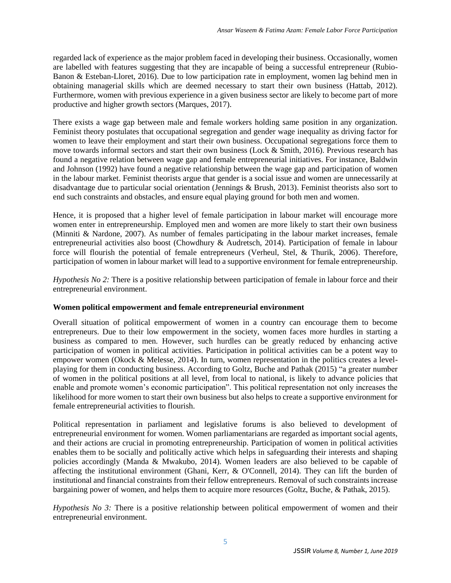regarded lack of experience as the major problem faced in developing their business. Occasionally, women are labelled with features suggesting that they are incapable of being a successful entrepreneur (Rubio-Banon & Esteban-Lloret, 2016). Due to low participation rate in employment, women lag behind men in obtaining managerial skills which are deemed necessary to start their own business (Hattab, 2012). Furthermore, women with previous experience in a given business sector are likely to become part of more productive and higher growth sectors (Marques, 2017).

There exists a wage gap between male and female workers holding same position in any organization. Feminist theory postulates that occupational segregation and gender wage inequality as driving factor for women to leave their employment and start their own business. Occupational segregations force them to move towards informal sectors and start their own business (Lock & Smith, 2016). Previous research has found a negative relation between wage gap and female entrepreneurial initiatives. For instance, Baldwin and Johnson (1992) have found a negative relationship between the wage gap and participation of women in the labour market. Feminist theorists argue that gender is a social issue and women are unnecessarily at disadvantage due to particular social orientation (Jennings & Brush, 2013). Feminist theorists also sort to end such constraints and obstacles, and ensure equal playing ground for both men and women.

Hence, it is proposed that a higher level of female participation in labour market will encourage more women enter in entrepreneurship. Employed men and women are more likely to start their own business (Minniti & Nardone, 2007). As number of females participating in the labour market increases, female entrepreneurial activities also boost (Chowdhury & Audretsch, 2014). Participation of female in labour force will flourish the potential of female entrepreneurs (Verheul, Stel, & Thurik, 2006). Therefore, participation of women in labour market will lead to a supportive environment for female entrepreneurship.

*Hypothesis No 2:* There is a positive relationship between participation of female in labour force and their entrepreneurial environment.

## **Women political empowerment and female entrepreneurial environment**

Overall situation of political empowerment of women in a country can encourage them to become entrepreneurs. Due to their low empowerment in the society, women faces more hurdles in starting a business as compared to men. However, such hurdles can be greatly reduced by enhancing active participation of women in political activities. Participation in political activities can be a potent way to empower women (Okock & Melesse, 2014). In turn, women representation in the politics creates a levelplaying for them in conducting business. According to Goltz, Buche and Pathak (2015) "a greater number of women in the political positions at all level, from local to national, is likely to advance policies that enable and promote women's economic participation". This political representation not only increases the likelihood for more women to start their own business but also helps to create a supportive environment for female entrepreneurial activities to flourish.

Political representation in parliament and legislative forums is also believed to development of entrepreneurial environment for women. Women parliamentarians are regarded as important social agents, and their actions are crucial in promoting entrepreneurship. Participation of women in political activities enables them to be socially and politically active which helps in safeguarding their interests and shaping policies accordingly (Manda & Mwakubo, 2014). Women leaders are also believed to be capable of affecting the institutional environment (Ghani, Kerr, & O'Connell, 2014). They can lift the burden of institutional and financial constraints from their fellow entrepreneurs. Removal of such constraints increase bargaining power of women, and helps them to acquire more resources (Goltz, Buche, & Pathak, 2015).

*Hypothesis No 3:* There is a positive relationship between political empowerment of women and their entrepreneurial environment.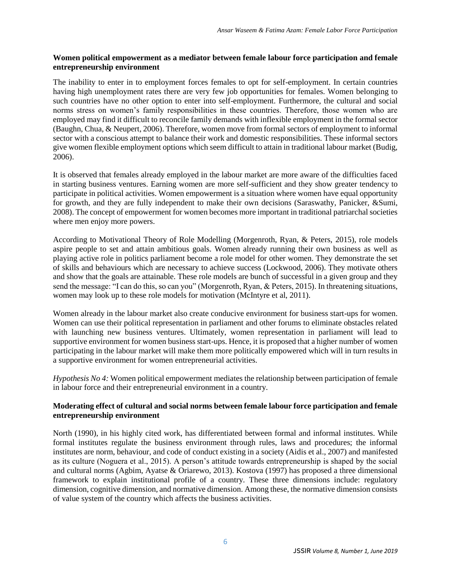#### **Women political empowerment as a mediator between female labour force participation and female entrepreneurship environment**

The inability to enter in to employment forces females to opt for self-employment. In certain countries having high unemployment rates there are very few job opportunities for females. Women belonging to such countries have no other option to enter into self-employment. Furthermore, the cultural and social norms stress on women's family responsibilities in these countries. Therefore, those women who are employed may find it difficult to reconcile family demands with inflexible employment in the formal sector (Baughn, Chua, & Neupert, 2006). Therefore, women move from formal sectors of employment to informal sector with a conscious attempt to balance their work and domestic responsibilities. These informal sectors give women flexible employment options which seem difficult to attain in traditional labour market (Budig, 2006).

It is observed that females already employed in the labour market are more aware of the difficulties faced in starting business ventures. Earning women are more self-sufficient and they show greater tendency to participate in political activities. Women empowerment is a situation where women have equal opportunity for growth, and they are fully independent to make their own decisions (Saraswathy, Panicker, &Sumi, 2008). The concept of empowerment for women becomes more important in traditional patriarchal societies where men enjoy more powers.

According to Motivational Theory of Role Modelling (Morgenroth, Ryan, & Peters, 2015), role models aspire people to set and attain ambitious goals. Women already running their own business as well as playing active role in politics parliament become a role model for other women. They demonstrate the set of skills and behaviours which are necessary to achieve success (Lockwood, 2006). They motivate others and show that the goals are attainable. These role models are bunch of successful in a given group and they send the message: "I can do this, so can you" (Morgenroth, Ryan, & Peters, 2015). In threatening situations, women may look up to these role models for motivation (McIntyre et al, 2011).

Women already in the labour market also create conducive environment for business start-ups for women. Women can use their political representation in parliament and other forums to eliminate obstacles related with launching new business ventures. Ultimately, women representation in parliament will lead to supportive environment for women business start-ups. Hence, it is proposed that a higher number of women participating in the labour market will make them more politically empowered which will in turn results in a supportive environment for women entrepreneurial activities.

*Hypothesis No 4:* Women political empowerment mediates the relationship between participation of female in labour force and their entrepreneurial environment in a country.

## **Moderating effect of cultural and social norms between female labour force participation and female entrepreneurship environment**

North (1990), in his highly cited work, has differentiated between formal and informal institutes. While formal institutes regulate the business environment through rules, laws and procedures; the informal institutes are norm, behaviour, and code of conduct existing in a society (Aidis et al., 2007) and manifested as its culture (Noguera et al., 2015). A person's attitude towards entrepreneurship is shaped by the social and cultural norms (Agbim, Ayatse & Oriarewo, 2013). Kostova (1997) has proposed a three dimensional framework to explain institutional profile of a country. These three dimensions include: regulatory dimension, cognitive dimension, and normative dimension. Among these, the normative dimension consists of value system of the country which affects the business activities.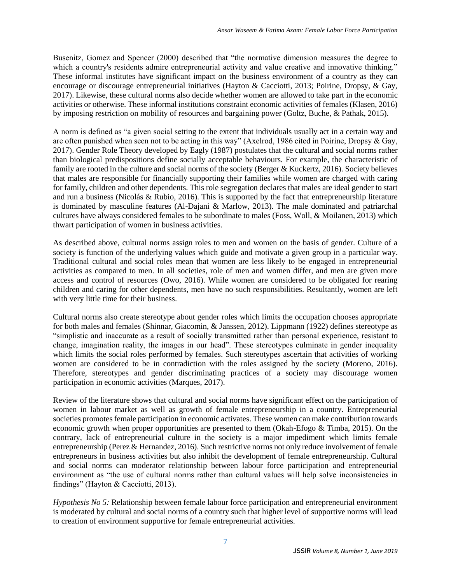Busenitz, Gomez and Spencer (2000) described that "the normative dimension measures the degree to which a country's residents admire entrepreneurial activity and value creative and innovative thinking." These informal institutes have significant impact on the business environment of a country as they can encourage or discourage entrepreneurial initiatives (Hayton & Cacciotti, 2013; Poirine, Dropsy, & Gay, 2017). Likewise, these cultural norms also decide whether women are allowed to take part in the economic activities or otherwise. These informal institutions constraint economic activities of females (Klasen, 2016) by imposing restriction on mobility of resources and bargaining power (Goltz, Buche, & Pathak, 2015).

A norm is defined as "a given social setting to the extent that individuals usually act in a certain way and are often punished when seen not to be acting in this way" (Axelrod, 1986 cited in Poirine, Dropsy & Gay, 2017). Gender Role Theory developed by Eagly (1987) postulates that the cultural and social norms rather than biological predispositions define socially acceptable behaviours. For example, the characteristic of family are rooted in the culture and social norms of the society (Berger & Kuckertz, 2016). Society believes that males are responsible for financially supporting their families while women are charged with caring for family, children and other dependents. This role segregation declares that males are ideal gender to start and run a business (Nicolás & Rubio, 2016). This is supported by the fact that entrepreneurship literature is dominated by masculine features (Al-Dajani & Marlow, 2013). The male dominated and patriarchal cultures have always considered females to be subordinate to males (Foss, Woll, & Moilanen, 2013) which thwart participation of women in business activities.

As described above, cultural norms assign roles to men and women on the basis of gender. Culture of a society is function of the underlying values which guide and motivate a given group in a particular way. Traditional cultural and social roles mean that women are less likely to be engaged in entrepreneurial activities as compared to men. In all societies, role of men and women differ, and men are given more access and control of resources (Owo, 2016). While women are considered to be obligated for rearing children and caring for other dependents, men have no such responsibilities. Resultantly, women are left with very little time for their business.

Cultural norms also create stereotype about gender roles which limits the occupation chooses appropriate for both males and females (Shinnar, Giacomin, & Janssen, 2012). Lippmann (1922) defines stereotype as "simplistic and inaccurate as a result of socially transmitted rather than personal experience, resistant to change, imagination reality, the images in our head". These stereotypes culminate in gender inequality which limits the social roles performed by females. Such stereotypes ascertain that activities of working women are considered to be in contradiction with the roles assigned by the society (Moreno, 2016). Therefore, stereotypes and gender discriminating practices of a society may discourage women participation in economic activities (Marques, 2017).

Review of the literature shows that cultural and social norms have significant effect on the participation of women in labour market as well as growth of female entrepreneurship in a country. Entrepreneurial societies promotes female participation in economic activates. These women can make contribution towards economic growth when proper opportunities are presented to them (Okah-Efogo & Timba, 2015). On the contrary, lack of entrepreneurial culture in the society is a major impediment which limits female entrepreneurship (Perez & Hernandez, 2016). Such restrictive norms not only reduce involvement of female entrepreneurs in business activities but also inhibit the development of female entrepreneurship. Cultural and social norms can moderator relationship between labour force participation and entrepreneurial environment as "the use of cultural norms rather than cultural values will help solve inconsistencies in findings" (Hayton & Cacciotti, 2013).

*Hypothesis No 5:* Relationship between female labour force participation and entrepreneurial environment is moderated by cultural and social norms of a country such that higher level of supportive norms will lead to creation of environment supportive for female entrepreneurial activities.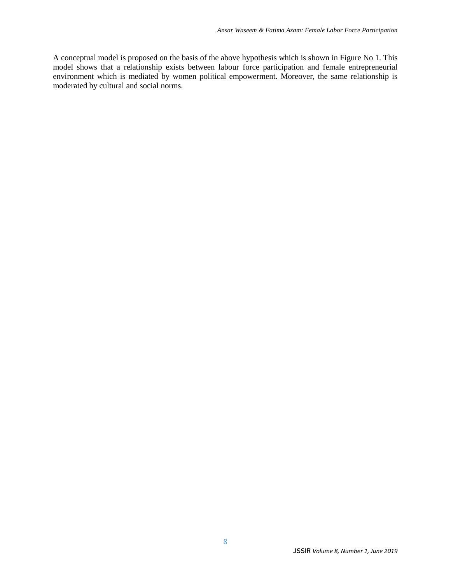A conceptual model is proposed on the basis of the above hypothesis which is shown in Figure No 1. This model shows that a relationship exists between labour force participation and female entrepreneurial environment which is mediated by women political empowerment. Moreover, the same relationship is moderated by cultural and social norms.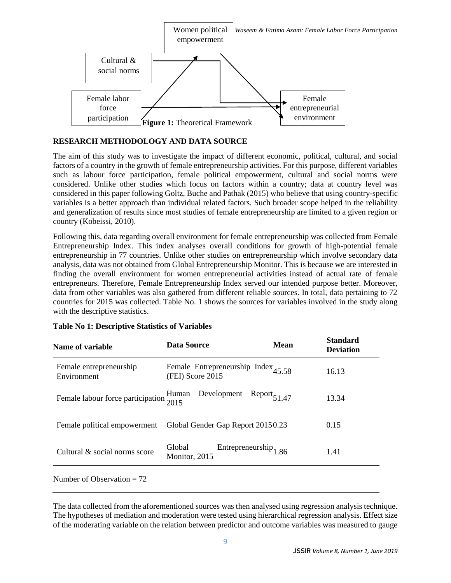

# **RESEARCH METHODOLOGY AND DATA SOURCE**

The aim of this study was to investigate the impact of different economic, political, cultural, and social factors of a country in the growth of female entrepreneurship activities. For this purpose, different variables such as labour force participation, female political empowerment, cultural and social norms were considered. Unlike other studies which focus on factors within a country; data at country level was considered in this paper following Goltz, Buche and Pathak (2015) who believe that using country-specific variables is a better approach than individual related factors. Such broader scope helped in the reliability and generalization of results since most studies of female entrepreneurship are limited to a given region or country (Kobeissi, 2010).

Following this, data regarding overall environment for female entrepreneurship was collected from Female Entrepreneurship Index. This index analyses overall conditions for growth of high-potential female entrepreneurship in 77 countries. Unlike other studies on entrepreneurship which involve secondary data analysis, data was not obtained from Global Entrepreneurship Monitor. This is because we are interested in finding the overall environment for women entrepreneurial activities instead of actual rate of female entrepreneurs. Therefore, Female Entrepreneurship Index served our intended purpose better. Moreover, data from other variables was also gathered from different reliable sources. In total, data pertaining to 72 countries for 2015 was collected. Table No. 1 shows the sources for variables involved in the study along with the descriptive statistics.

| Data Source             | <b>Mean</b>                              | <b>Standard</b><br><b>Deviation</b>                                                                                          |
|-------------------------|------------------------------------------|------------------------------------------------------------------------------------------------------------------------------|
| (FEI) Score 2015        |                                          | 16.13                                                                                                                        |
| Development<br>Human    |                                          | 13.34                                                                                                                        |
|                         |                                          | 0.15                                                                                                                         |
| Global<br>Monitor, 2015 |                                          | 1.41                                                                                                                         |
|                         | Female labour force participation $2015$ | Female Entrepreneurship Index $_{45.58}$<br>$Report_{51.47}$<br>Global Gender Gap Report 20150.23<br>Entrepreneurship $1.86$ |

## **Table No 1: Descriptive Statistics of Variables**

Number of Observation  $= 72$ 

The data collected from the aforementioned sources was then analysed using regression analysis technique. The hypotheses of mediation and moderation were tested using hierarchical regression analysis. Effect size of the moderating variable on the relation between predictor and outcome variables was measured to gauge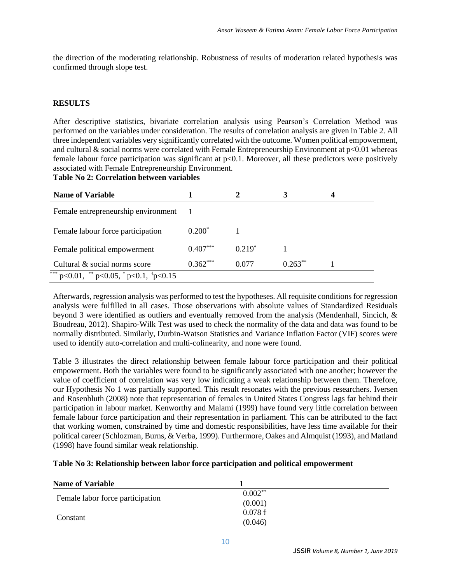the direction of the moderating relationship. Robustness of results of moderation related hypothesis was confirmed through slope test.

## **RESULTS**

After descriptive statistics, bivariate correlation analysis using Pearson's Correlation Method was performed on the variables under consideration. The results of correlation analysis are given in Table 2. All three independent variables very significantly correlated with the outcome. Women political empowerment, and cultural  $\&$  social norms were correlated with Female Entrepreneurship Environment at  $p<0.01$  whereas female labour force participation was significant at  $p<0.1$ . Moreover, all these predictors were positively associated with Female Entrepreneurship Environment.

**Table No 2: Correlation between variables** 

| <b>Name of Variable</b>                                        |            |          |           |  |
|----------------------------------------------------------------|------------|----------|-----------|--|
| Female entrepreneurship environment                            |            |          |           |  |
| Female labour force participation                              | $0.200*$   |          |           |  |
| Female political empowerment                                   | $0.407***$ | $0.219*$ |           |  |
| Cultural & social norms score                                  | $0.362***$ | 0.077    | $0.263**$ |  |
| *** $p<0.01$ , ** $p<0.05$ , * $p<0.1$ , <sup>†</sup> $p<0.15$ |            |          |           |  |

Afterwards, regression analysis was performed to test the hypotheses. All requisite conditions for regression analysis were fulfilled in all cases. Those observations with absolute values of Standardized Residuals beyond 3 were identified as outliers and eventually removed from the analysis (Mendenhall, Sincich, & Boudreau, 2012). Shapiro-Wilk Test was used to check the normality of the data and data was found to be normally distributed. Similarly, Durbin-Watson Statistics and Variance Inflation Factor (VIF) scores were used to identify auto-correlation and multi-colinearity, and none were found.

Table 3 illustrates the direct relationship between female labour force participation and their political empowerment. Both the variables were found to be significantly associated with one another; however the value of coefficient of correlation was very low indicating a weak relationship between them. Therefore, our Hypothesis No 1 was partially supported. This result resonates with the previous researchers. Iversen and Rosenbluth (2008) note that representation of females in United States Congress lags far behind their participation in labour market. Kenworthy and Malami (1999) have found very little correlation between female labour force participation and their representation in parliament. This can be attributed to the fact that working women, constrained by time and domestic responsibilities, have less time available for their political career (Schlozman, Burns, & Verba, 1999). Furthermore, Oakes and Almquist (1993), and Matland (1998) have found similar weak relationship.

| Table No 3: Relationship between labor force participation and political empowerment |  |  |  |  |  |
|--------------------------------------------------------------------------------------|--|--|--|--|--|
|--------------------------------------------------------------------------------------|--|--|--|--|--|

| <b>Name of Variable</b>          |           |  |
|----------------------------------|-----------|--|
|                                  | $0.002**$ |  |
| Female labor force participation | (0.001)   |  |
| Constant                         | 0.078 f   |  |
|                                  | (0.046)   |  |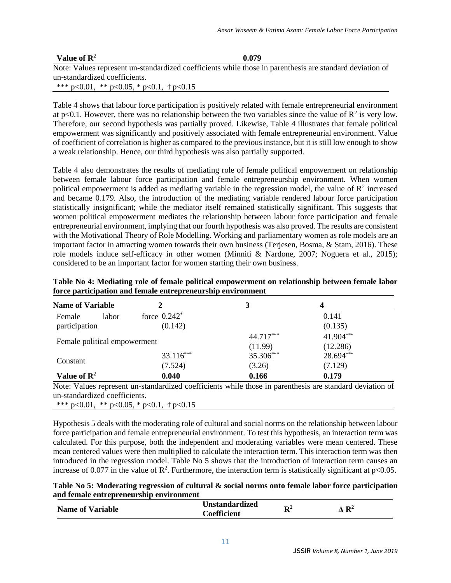| Value of $\mathbb{R}^2$ | 0.079                                                                                                    |  |
|-------------------------|----------------------------------------------------------------------------------------------------------|--|
|                         | Note: Values represent un-standardized coefficients while those in parenthesis are standard deviation of |  |

un-standardized coefficients. \*\*\*  $p<0.01$ , \*\*  $p<0.05$ , \*  $p<0.1$ , †  $p<0.15$ 

Table 4 shows that labour force participation is positively related with female entrepreneurial environment at p<0.1. However, there was no relationship between the two variables since the value of  $\mathbb{R}^2$  is very low. Therefore, our second hypothesis was partially proved. Likewise, Table 4 illustrates that female political empowerment was significantly and positively associated with female entrepreneurial environment. Value of coefficient of correlation is higher as compared to the previous instance, but it is still low enough to show a weak relationship. Hence, our third hypothesis was also partially supported.

Table 4 also demonstrates the results of mediating role of female political empowerment on relationship between female labour force participation and female entrepreneurship environment. When women political empowerment is added as mediating variable in the regression model, the value of  $\mathbb{R}^2$  increased and became 0.179. Also, the introduction of the mediating variable rendered labour force participation statistically insignificant; while the mediator itself remained statistically significant. This suggests that women political empowerment mediates the relationship between labour force participation and female entrepreneurial environment, implying that our fourth hypothesis was also proved. The results are consistent with the Motivational Theory of Role Modelling. Working and parliamentary women as role models are an important factor in attracting women towards their own business (Terjesen, Bosma, & Stam, 2016). These role models induce self-efficacy in other women (Minniti & Nardone, 2007; Noguera et al., 2015); considered to be an important factor for women starting their own business.

| <b>Name of Variable</b>          |                                       | 3                    | 4                     |
|----------------------------------|---------------------------------------|----------------------|-----------------------|
| Female<br>labor<br>participation | force $0.242$ <sup>*</sup><br>(0.142) |                      | 0.141<br>(0.135)      |
| Female political empowerment     |                                       | 44.717***            | 41.904***             |
|                                  | $33.116***$                           | (11.99)<br>35.306*** | (12.286)<br>28.694*** |
| Constant                         | (7.524)                               | (3.26)               | (7.129)               |
| Value of $\mathbb{R}^2$          | 0.040                                 | 0.166                | 0.179                 |

**Table No 4: Mediating role of female political empowerment on relationship between female labor force participation and female entrepreneurship environment**

Note: Values represent un-standardized coefficients while those in parenthesis are standard deviation of un-standardized coefficients.

\*\*\*  $p<0.01$ , \*\*  $p<0.05$ , \*  $p<0.1$ , †  $p<0.15$ 

Hypothesis 5 deals with the moderating role of cultural and social norms on the relationship between labour force participation and female entrepreneurial environment. To test this hypothesis, an interaction term was calculated. For this purpose, both the independent and moderating variables were mean centered. These mean centered values were then multiplied to calculate the interaction term. This interaction term was then introduced in the regression model. Table No 5 shows that the introduction of interaction term causes an increase of 0.077 in the value of  $\mathbb{R}^2$ . Furthermore, the interaction term is statistically significant at p<0.05.

**Table No 5: Moderating regression of cultural & social norms onto female labor force participation and female entrepreneurship environment** 

| <b>Unstandardized</b><br>D2<br><b>Name of Variable</b><br>л<br>$\sim$ oefficient | $\Lambda$ $\mathbf{R}^2$ |
|----------------------------------------------------------------------------------|--------------------------|
|----------------------------------------------------------------------------------|--------------------------|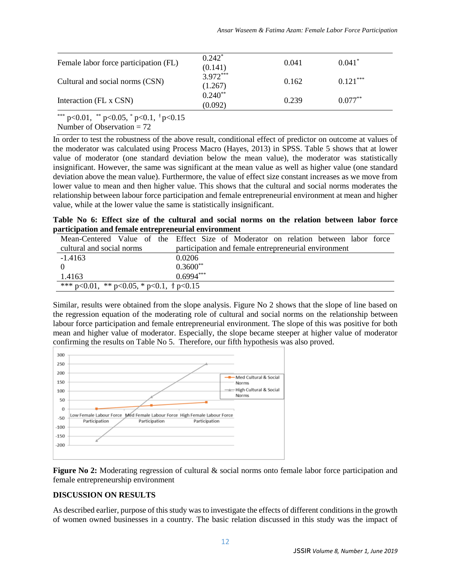| Female labor force participation (FL) | $0.242^*$<br>(0.141)  | 0.041 | $0.041*$   |
|---------------------------------------|-----------------------|-------|------------|
| Cultural and social norms (CSN)       | $3.972***$<br>(1.267) | 0.162 | $0.121***$ |
| Interaction (FL x CSN)                | $0.240**$<br>(0.092)  | 0.239 | $0.077**$  |

\*\*\* p<0.01, \*\* p<0.05, \* p<0.1,  $\frac{1}{7}$  p<0.15

Number of Observation  $= 72$ 

In order to test the robustness of the above result, conditional effect of predictor on outcome at values of the moderator was calculated using Process Macro (Hayes, 2013) in SPSS. Table 5 shows that at lower value of moderator (one standard deviation below the mean value), the moderator was statistically insignificant. However, the same was significant at the mean value as well as higher value (one standard deviation above the mean value). Furthermore, the value of effect size constant increases as we move from lower value to mean and then higher value. This shows that the cultural and social norms moderates the relationship between labour force participation and female entrepreneurial environment at mean and higher value, while at the lower value the same is statistically insignificant.

**Table No 6: Effect size of the cultural and social norms on the relation between labor force participation and female entrepreneurial environment** 

|                                                     | Mean-Centered Value of the Effect Size of Moderator on relation between labor force |  |
|-----------------------------------------------------|-------------------------------------------------------------------------------------|--|
| cultural and social norms                           | participation and female entrepreneurial environment                                |  |
| $-1.4163$                                           | 0.0206                                                                              |  |
|                                                     | $0.3600**$                                                                          |  |
| 1.4163                                              | $0.6994***$                                                                         |  |
| *** $p<0.01$ , ** $p<0.05$ , * $p<0.1$ , † $p<0.15$ |                                                                                     |  |

Similar, results were obtained from the slope analysis. Figure No 2 shows that the slope of line based on the regression equation of the moderating role of cultural and social norms on the relationship between labour force participation and female entrepreneurial environment. The slope of this was positive for both mean and higher value of moderator. Especially, the slope became steeper at higher value of moderator confirming the results on Table No 5. Therefore, our fifth hypothesis was also proved.



**Figure No 2:** Moderating regression of cultural & social norms onto female labor force participation and female entrepreneurship environment

# **DISCUSSION ON RESULTS**

As described earlier, purpose of this study was to investigate the effects of different conditions in the growth of women owned businesses in a country. The basic relation discussed in this study was the impact of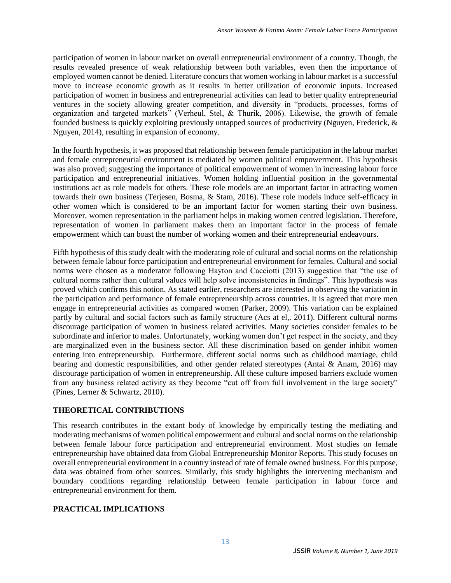participation of women in labour market on overall entrepreneurial environment of a country. Though, the results revealed presence of weak relationship between both variables, even then the importance of employed women cannot be denied. Literature concurs that women working in labour market is a successful move to increase economic growth as it results in better utilization of economic inputs. Increased participation of women in business and entrepreneurial activities can lead to better quality entrepreneurial ventures in the society allowing greater competition, and diversity in "products, processes, forms of organization and targeted markets" (Verheul, Stel, & Thurik, 2006). Likewise, the growth of female founded business is quickly exploiting previously untapped sources of productivity (Nguyen, Frederick, & Nguyen, 2014), resulting in expansion of economy.

In the fourth hypothesis, it was proposed that relationship between female participation in the labour market and female entrepreneurial environment is mediated by women political empowerment. This hypothesis was also proved; suggesting the importance of political empowerment of women in increasing labour force participation and entrepreneurial initiatives. Women holding influential position in the governmental institutions act as role models for others. These role models are an important factor in attracting women towards their own business (Terjesen, Bosma, & Stam, 2016). These role models induce self-efficacy in other women which is considered to be an important factor for women starting their own business. Moreover, women representation in the parliament helps in making women centred legislation. Therefore, representation of women in parliament makes them an important factor in the process of female empowerment which can boast the number of working women and their entrepreneurial endeavours.

Fifth hypothesis of this study dealt with the moderating role of cultural and social norms on the relationship between female labour force participation and entrepreneurial environment for females. Cultural and social norms were chosen as a moderator following Hayton and Cacciotti (2013) suggestion that "the use of cultural norms rather than cultural values will help solve inconsistencies in findings". This hypothesis was proved which confirms this notion. As stated earlier, researchers are interested in observing the variation in the participation and performance of female entrepreneurship across countries. It is agreed that more men engage in entrepreneurial activities as compared women (Parker, 2009). This variation can be explained partly by cultural and social factors such as family structure (Acs at el,. 2011). Different cultural norms discourage participation of women in business related activities. Many societies consider females to be subordinate and inferior to males. Unfortunately, working women don't get respect in the society, and they are marginalized even in the business sector. All these discrimination based on gender inhibit women entering into entrepreneurship. Furthermore, different social norms such as childhood marriage, child bearing and domestic responsibilities, and other gender related stereotypes (Antai & Anam, 2016) may discourage participation of women in entrepreneurship. All these culture imposed barriers exclude women from any business related activity as they become "cut off from full involvement in the large society" (Pines, Lerner & Schwartz, 2010).

# **THEORETICAL CONTRIBUTIONS**

This research contributes in the extant body of knowledge by empirically testing the mediating and moderating mechanisms of women political empowerment and cultural and social norms on the relationship between female labour force participation and entrepreneurial environment. Most studies on female entrepreneurship have obtained data from Global Entrepreneurship Monitor Reports. This study focuses on overall entrepreneurial environment in a country instead of rate of female owned business. For this purpose, data was obtained from other sources. Similarly, this study highlights the intervening mechanism and boundary conditions regarding relationship between female participation in labour force and entrepreneurial environment for them.

# **PRACTICAL IMPLICATIONS**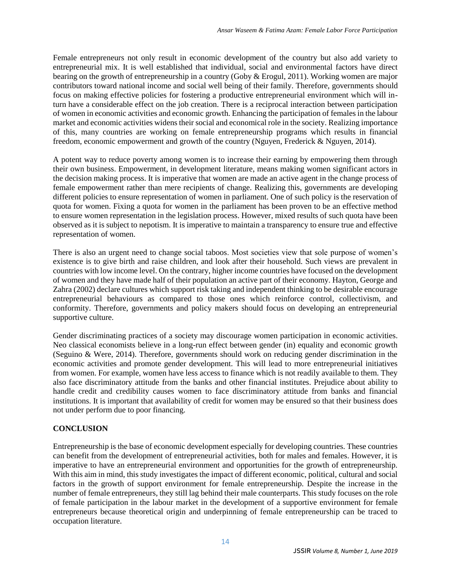Female entrepreneurs not only result in economic development of the country but also add variety to entrepreneurial mix. It is well established that individual, social and environmental factors have direct bearing on the growth of entrepreneurship in a country (Goby & Erogul, 2011). Working women are major contributors toward national income and social well being of their family. Therefore, governments should focus on making effective policies for fostering a productive entrepreneurial environment which will inturn have a considerable effect on the job creation. There is a reciprocal interaction between participation of women in economic activities and economic growth. Enhancing the participation of females in the labour market and economic activities widens their social and economical role in the society. Realizing importance of this, many countries are working on female entrepreneurship programs which results in financial freedom, economic empowerment and growth of the country (Nguyen, Frederick & Nguyen, 2014).

A potent way to reduce poverty among women is to increase their earning by empowering them through their own business. Empowerment, in development literature, means making women significant actors in the decision making process. It is imperative that women are made an active agent in the change process of female empowerment rather than mere recipients of change. Realizing this, governments are developing different policies to ensure representation of women in parliament. One of such policy is the reservation of quota for women. Fixing a quota for women in the parliament has been proven to be an effective method to ensure women representation in the legislation process. However, mixed results of such quota have been observed as it is subject to nepotism. It is imperative to maintain a transparency to ensure true and effective representation of women.

There is also an urgent need to change social taboos. Most societies view that sole purpose of women's existence is to give birth and raise children, and look after their household. Such views are prevalent in countries with low income level. On the contrary, higher income countries have focused on the development of women and they have made half of their population an active part of their economy. Hayton, George and Zahra (2002) declare cultures which support risk taking and independent thinking to be desirable encourage entrepreneurial behaviours as compared to those ones which reinforce control, collectivism, and conformity. Therefore, governments and policy makers should focus on developing an entrepreneurial supportive culture.

Gender discriminating practices of a society may discourage women participation in economic activities. Neo classical economists believe in a long-run effect between gender (in) equality and economic growth (Seguino & Were, 2014). Therefore, governments should work on reducing gender discrimination in the economic activities and promote gender development. This will lead to more entrepreneurial initiatives from women. For example, women have less access to finance which is not readily available to them. They also face discriminatory attitude from the banks and other financial institutes. Prejudice about ability to handle credit and credibility causes women to face discriminatory attitude from banks and financial institutions. It is important that availability of credit for women may be ensured so that their business does not under perform due to poor financing.

# **CONCLUSION**

Entrepreneurship is the base of economic development especially for developing countries. These countries can benefit from the development of entrepreneurial activities, both for males and females. However, it is imperative to have an entrepreneurial environment and opportunities for the growth of entrepreneurship. With this aim in mind, this study investigates the impact of different economic, political, cultural and social factors in the growth of support environment for female entrepreneurship. Despite the increase in the number of female entrepreneurs, they still lag behind their male counterparts. This study focuses on the role of female participation in the labour market in the development of a supportive environment for female entrepreneurs because theoretical origin and underpinning of female entrepreneurship can be traced to occupation literature.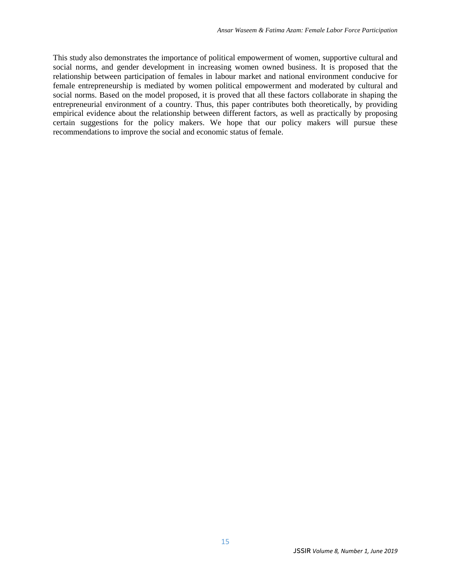This study also demonstrates the importance of political empowerment of women, supportive cultural and social norms, and gender development in increasing women owned business. It is proposed that the relationship between participation of females in labour market and national environment conducive for female entrepreneurship is mediated by women political empowerment and moderated by cultural and social norms. Based on the model proposed, it is proved that all these factors collaborate in shaping the entrepreneurial environment of a country. Thus, this paper contributes both theoretically, by providing empirical evidence about the relationship between different factors, as well as practically by proposing certain suggestions for the policy makers. We hope that our policy makers will pursue these recommendations to improve the social and economic status of female.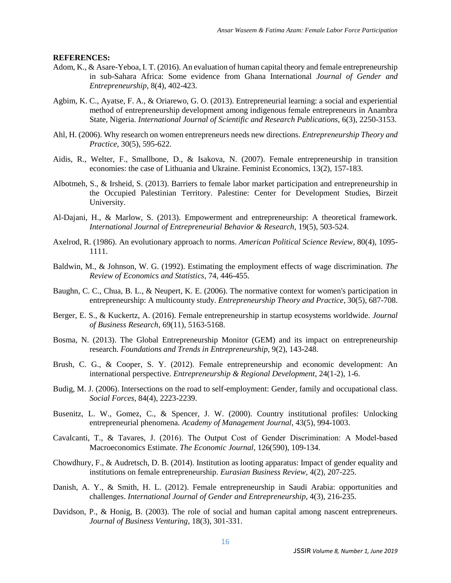#### **REFERENCES:**

- Adom, K., & Asare-Yeboa, I. T. (2016). An evaluation of human capital theory and female entrepreneurship in sub-Sahara Africa: Some evidence from Ghana International *Journal of Gender and Entrepreneurship*, 8(4), 402-423.
- Agbim, K. C., Ayatse, F. A., & Oriarewo, G. O. (2013). Entrepreneurial learning: a social and experiential method of entrepreneurship development among indigenous female entrepreneurs in Anambra State, Nigeria. *International Journal of Scientific and Research Publications*, 6(3), 2250-3153.
- Ahl, H. (2006). Why research on women entrepreneurs needs new directions. *Entrepreneurship Theory and Practice*, 30(5), 595-622.
- Aidis, R., Welter, F., Smallbone, D., & Isakova, N. (2007). Female entrepreneurship in transition economies: the case of Lithuania and Ukraine. Feminist Economics, 13(2), 157-183.
- Albotmeh, S., & Irsheid, S. (2013). Barriers to female labor market participation and entrepreneurship in the Occupied Palestinian Territory. Palestine: Center for Development Studies, Birzeit University.
- Al-Dajani, H., & Marlow, S. (2013). Empowerment and entrepreneurship: A theoretical framework. *International Journal of Entrepreneurial Behavior & Research*, 19(5), 503-524.
- Axelrod, R. (1986). An evolutionary approach to norms. *American Political Science Review*, 80(4), 1095- 1111.
- Baldwin, M., & Johnson, W. G. (1992). Estimating the employment effects of wage discrimination. *The Review of Economics and Statistics*, 74, 446-455.
- Baughn, C. C., Chua, B. L., & Neupert, K. E. (2006). The normative context for women's participation in entrepreneurship: A multicounty study. *Entrepreneurship Theory and Practice*, 30(5), 687-708.
- Berger, E. S., & Kuckertz, A. (2016). Female entrepreneurship in startup ecosystems worldwide. *Journal of Business Research*, 69(11), 5163-5168.
- Bosma, N. (2013). The Global Entrepreneurship Monitor (GEM) and its impact on entrepreneurship research. *Foundations and Trends in Entrepreneurship*, 9(2), 143-248.
- Brush, C. G., & Cooper, S. Y. (2012). Female entrepreneurship and economic development: An international perspective. *Entrepreneurship & Regional Development*, 24(1-2), 1-6.
- Budig, M. J. (2006). Intersections on the road to self-employment: Gender, family and occupational class. *Social Forces*, 84(4), 2223-2239.
- Busenitz, L. W., Gomez, C., & Spencer, J. W. (2000). Country institutional profiles: Unlocking entrepreneurial phenomena*. Academy of Management Journal*, 43(5), 994-1003.
- Cavalcanti, T., & Tavares, J. (2016). The Output Cost of Gender Discrimination: A Model‐based Macroeconomics Estimate*. The Economic Journal*, 126(590), 109-134.
- Chowdhury, F., & Audretsch, D. B. (2014). Institution as looting apparatus: Impact of gender equality and institutions on female entrepreneurship. *Eurasian Business Review*, 4(2), 207-225.
- Danish, A. Y., & Smith, H. L. (2012). Female entrepreneurship in Saudi Arabia: opportunities and challenges. *International Journal of Gender and Entrepreneurship*, 4(3), 216-235.
- Davidson, P., & Honig, B. (2003). The role of social and human capital among nascent entrepreneurs. *Journal of Business Venturing*, 18(3), 301-331.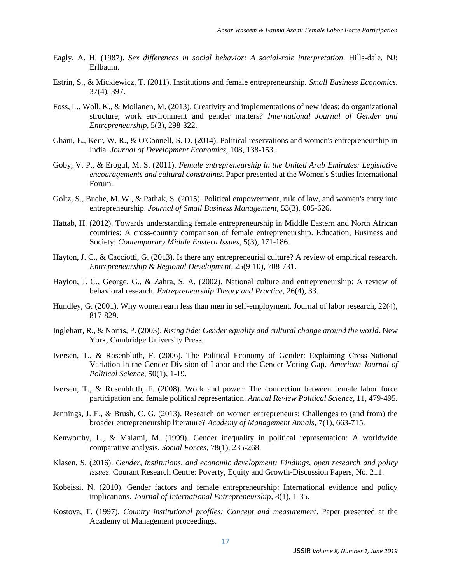- Eagly, A. H. (1987). *Sex differences in social behavior: A social-role interpretation*. Hills-dale, NJ: Erlbaum.
- Estrin, S., & Mickiewicz, T. (2011). Institutions and female entrepreneurship. *Small Business Economics*, 37(4), 397.
- Foss, L., Woll, K., & Moilanen, M. (2013). Creativity and implementations of new ideas: do organizational structure, work environment and gender matters? *International Journal of Gender and Entrepreneurship*, 5(3), 298-322.
- Ghani, E., Kerr, W. R., & O'Connell, S. D. (2014). Political reservations and women's entrepreneurship in India. *Journal of Development Economics*, 108, 138-153.
- Goby, V. P., & Erogul, M. S. (2011). *Female entrepreneurship in the United Arab Emirates: Legislative encouragements and cultural constraints*. Paper presented at the Women's Studies International Forum.
- Goltz, S., Buche, M. W., & Pathak, S. (2015). Political empowerment, rule of law, and women's entry into entrepreneurship. *Journal of Small Business Management*, 53(3), 605-626.
- Hattab, H. (2012). Towards understanding female entrepreneurship in Middle Eastern and North African countries: A cross-country comparison of female entrepreneurship. Education, Business and Society: *Contemporary Middle Eastern Issues*, 5(3), 171-186.
- Hayton, J. C., & Cacciotti, G. (2013). Is there any entrepreneurial culture? A review of empirical research. *Entrepreneurship & Regional Development*, 25(9-10), 708-731.
- Hayton, J. C., George, G., & Zahra, S. A. (2002). National culture and entrepreneurship: A review of behavioral research. *Entrepreneurship Theory and Practice*, 26(4), 33.
- Hundley, G. (2001). Why women earn less than men in self-employment. Journal of labor research, 22(4), 817-829.
- Inglehart, R., & Norris, P. (2003). *Rising tide: Gender equality and cultural change around the world*. New York, Cambridge University Press.
- Iversen, T., & Rosenbluth, F. (2006). The Political Economy of Gender: Explaining Cross‐National Variation in the Gender Division of Labor and the Gender Voting Gap. *American Journal of Political Science*, 50(1), 1-19.
- Iversen, T., & Rosenbluth, F. (2008). Work and power: The connection between female labor force participation and female political representation. *Annual Review Political Science*, 11, 479-495.
- Jennings, J. E., & Brush, C. G. (2013). Research on women entrepreneurs: Challenges to (and from) the broader entrepreneurship literature? *Academy of Management Annals*, 7(1), 663-715.
- Kenworthy, L., & Malami, M. (1999). Gender inequality in political representation: A worldwide comparative analysis. *Social Forces*, 78(1), 235-268.
- Klasen, S. (2016). *Gender, institutions, and economic development: Findings, open research and policy issues*. Courant Research Centre: Poverty, Equity and Growth-Discussion Papers, No. 211.
- Kobeissi, N. (2010). Gender factors and female entrepreneurship: International evidence and policy implications. *Journal of International Entrepreneurship*, 8(1), 1-35.
- Kostova, T. (1997). *Country institutional profiles: Concept and measurement*. Paper presented at the Academy of Management proceedings.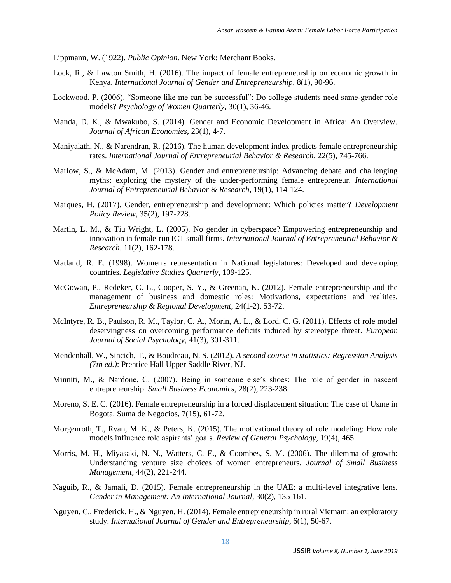Lippmann, W. (1922). *Public Opinion*. New York: Merchant Books.

- Lock, R., & Lawton Smith, H. (2016). The impact of female entrepreneurship on economic growth in Kenya. *International Journal of Gender and Entrepreneurship*, 8(1), 90-96.
- Lockwood, P. (2006). "Someone like me can be successful": Do college students need same‐gender role models? *Psychology of Women Quarterly*, 30(1), 36-46.
- Manda, D. K., & Mwakubo, S. (2014). Gender and Economic Development in Africa: An Overview. *Journal of African Economies*, 23(1), 4-7.
- Maniyalath, N., & Narendran, R. (2016). The human development index predicts female entrepreneurship rates. *International Journal of Entrepreneurial Behavior & Research*, 22(5), 745-766.
- Marlow, S., & McAdam, M. (2013). Gender and entrepreneurship: Advancing debate and challenging myths; exploring the mystery of the under-performing female entrepreneur. *International Journal of Entrepreneurial Behavior & Research*, 19(1), 114-124.
- Marques, H. (2017). Gender, entrepreneurship and development: Which policies matter? *Development Policy Review*, 35(2), 197-228.
- Martin, L. M., & Tiu Wright, L. (2005). No gender in cyberspace? Empowering entrepreneurship and innovation in female-run ICT small firms*. International Journal of Entrepreneurial Behavior & Research*, 11(2), 162-178.
- Matland, R. E. (1998). Women's representation in National legislatures: Developed and developing countries*. Legislative Studies Quarterly*, 109-125.
- McGowan, P., Redeker, C. L., Cooper, S. Y., & Greenan, K. (2012). Female entrepreneurship and the management of business and domestic roles: Motivations, expectations and realities. *Entrepreneurship & Regional Development*, 24(1-2), 53-72.
- McIntyre, R. B., Paulson, R. M., Taylor, C. A., Morin, A. L., & Lord, C. G. (2011). Effects of role model deservingness on overcoming performance deficits induced by stereotype threat. *European Journal of Social Psychology*, 41(3), 301-311.
- Mendenhall, W., Sincich, T., & Boudreau, N. S. (2012). *A second course in statistics: Regression Analysis (7th ed.)*: Prentice Hall Upper Saddle River, NJ.
- Minniti, M., & Nardone, C. (2007). Being in someone else's shoes: The role of gender in nascent entrepreneurship. *Small Business Economics*, 28(2), 223-238.
- Moreno, S. E. C. (2016). Female entrepreneurship in a forced displacement situation: The case of Usme in Bogota. Suma de Negocios, 7(15), 61-72.
- Morgenroth, T., Ryan, M. K., & Peters, K. (2015). The motivational theory of role modeling: How role models influence role aspirants' goals. *Review of General Psychology*, 19(4), 465.
- Morris, M. H., Miyasaki, N. N., Watters, C. E., & Coombes, S. M. (2006). The dilemma of growth: Understanding venture size choices of women entrepreneurs*. Journal of Small Business Management,* 44(2), 221-244.
- Naguib, R., & Jamali, D. (2015). Female entrepreneurship in the UAE: a multi-level integrative lens. *Gender in Management: An International Journal*, 30(2), 135-161.
- Nguyen, C., Frederick, H., & Nguyen, H. (2014). Female entrepreneurship in rural Vietnam: an exploratory study. *International Journal of Gender and Entrepreneurship*, 6(1), 50-67.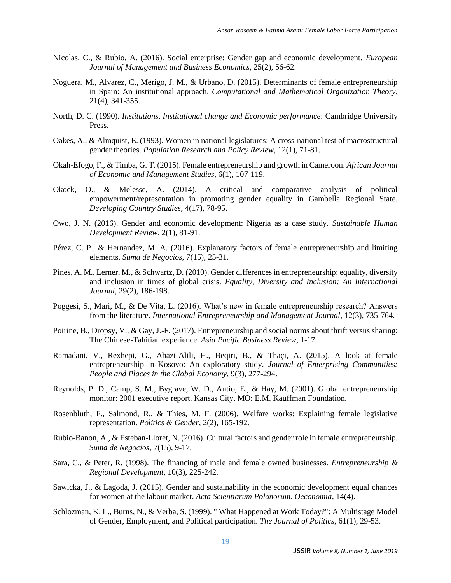- Nicolas, C., & Rubio, A. (2016). Social enterprise: Gender gap and economic development. *European Journal of Management and Business Economics*, 25(2), 56-62.
- Noguera, M., Alvarez, C., Merigo, J. M., & Urbano, D. (2015). Determinants of female entrepreneurship in Spain: An institutional approach. *Computational and Mathematical Organization Theory*, 21(4), 341-355.
- North, D. C. (1990). *Institutions, Institutional change and Economic performance*: Cambridge University Press.
- Oakes, A., & Almquist, E. (1993). Women in national legislatures: A cross-national test of macrostructural gender theories. *Population Research and Policy Review*, 12(1), 71-81.
- Okah-Efogo, F., & Timba, G. T. (2015). Female entrepreneurship and growth in Cameroon. *African Journal of Economic and Management Studies*, 6(1), 107-119.
- Okock, O., & Melesse, A. (2014). A critical and comparative analysis of political empowerment/representation in promoting gender equality in Gambella Regional State. *Developing Country Studies*, 4(17), 78-95.
- Owo, J. N. (2016). Gender and economic development: Nigeria as a case study. *Sustainable Human Development Review*, 2(1), 81-91.
- Pérez, C. P., & Hernandez, M. A. (2016). Explanatory factors of female entrepreneurship and limiting elements. *Suma de Negocios*, 7(15), 25-31.
- Pines, A. M., Lerner, M., & Schwartz, D. (2010). Gender differences in entrepreneurship: equality, diversity and inclusion in times of global crisis. *Equality, Diversity and Inclusion: An International Journal*, 29(2), 186-198.
- Poggesi, S., Mari, M., & De Vita, L. (2016). What's new in female entrepreneurship research? Answers from the literature. *International Entrepreneurship and Management Journal*, 12(3), 735-764.
- Poirine, B., Dropsy, V., & Gay, J.-F. (2017). Entrepreneurship and social norms about thrift versus sharing: The Chinese-Tahitian experience. *Asia Pacific Business Review*, 1-17.
- Ramadani, V., Rexhepi, G., Abazi-Alili, H., Beqiri, B., & Thaçi, A. (2015). A look at female entrepreneurship in Kosovo: An exploratory study. *Journal of Enterprising Communities: People and Places in the Global Economy*, 9(3), 277-294.
- Reynolds, P. D., Camp, S. M., Bygrave, W. D., Autio, E., & Hay, M. (2001). Global entrepreneurship monitor: 2001 executive report. Kansas City, MO: E.M. Kauffman Foundation.
- Rosenbluth, F., Salmond, R., & Thies, M. F. (2006). Welfare works: Explaining female legislative representation. *Politics & Gender*, 2(2), 165-192.
- Rubio-Banon, A., & Esteban-Lloret, N. (2016). Cultural factors and gender role in female entrepreneurship. *Suma de Negocios*, 7(15), 9-17.
- Sara, C., & Peter, R. (1998). The financing of male and female owned businesses. *Entrepreneurship & Regional Development*, 10(3), 225-242.
- Sawicka, J., & Lagoda, J. (2015). Gender and sustainability in the economic development equal chances for women at the labour market. *Acta Scientiarum Polonorum. Oeconomia*, 14(4).
- Schlozman, K. L., Burns, N., & Verba, S. (1999). " What Happened at Work Today?": A Multistage Model of Gender, Employment, and Political participation. *The Journal of Politics*, 61(1), 29-53.